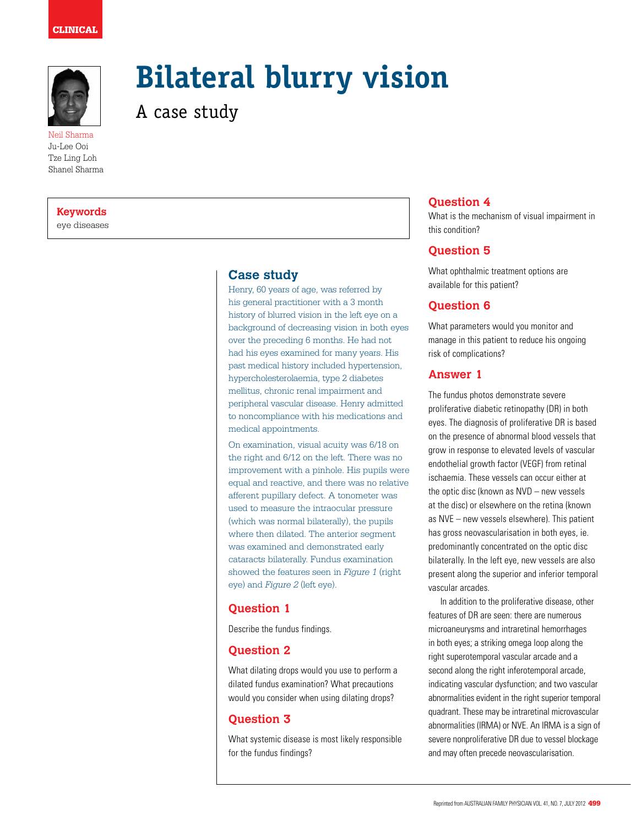

Ju-Lee Ooi Tze Ling Loh Shanel Sharma

# **Bilateral blurry vision**

A case study

#### **Keywords**

eye diseases

#### **Case study**

Henry, 60 years of age, was referred by his general practitioner with a 3 month history of blurred vision in the left eye on a background of decreasing vision in both eyes over the preceding 6 months. He had not had his eyes examined for many years. His past medical history included hypertension, hypercholesterolaemia, type 2 diabetes mellitus, chronic renal impairment and peripheral vascular disease. Henry admitted to noncompliance with his medications and medical appointments.

On examination, visual acuity was 6/18 on the right and 6/12 on the left. There was no improvement with a pinhole. His pupils were equal and reactive, and there was no relative afferent pupillary defect. A tonometer was used to measure the intraocular pressure (which was normal bilaterally), the pupils where then dilated. The anterior segment was examined and demonstrated early cataracts bilaterally. Fundus examination showed the features seen in *Figure 1* (right eye) and *Figure 2* (left eye).

# **Question 1**

Describe the fundus findings.

# **Question 2**

What dilating drops would you use to perform a dilated fundus examination? What precautions would you consider when using dilating drops?

## **Question 3**

What systemic disease is most likely responsible for the fundus findings?

# **Question 4**

What is the mechanism of visual impairment in this condition?

# **Question 5**

What ophthalmic treatment options are available for this patient?

## **Question 6**

What parameters would you monitor and manage in this patient to reduce his ongoing risk of complications?

#### **Answer 1**

The fundus photos demonstrate severe proliferative diabetic retinopathy (DR) in both eyes. The diagnosis of proliferative DR is based on the presence of abnormal blood vessels that grow in response to elevated levels of vascular endothelial growth factor (VEGF) from retinal ischaemia. These vessels can occur either at the optic disc (known as NVD – new vessels at the disc) or elsewhere on the retina (known as NVE – new vessels elsewhere). This patient has gross neovascularisation in both eyes, ie. predominantly concentrated on the optic disc bilaterally. In the left eye, new vessels are also present along the superior and inferior temporal vascular arcades.

In addition to the proliferative disease, other features of DR are seen: there are numerous microaneurysms and intraretinal hemorrhages in both eyes; a striking omega loop along the right superotemporal vascular arcade and a second along the right inferotemporal arcade, indicating vascular dysfunction; and two vascular abnormalities evident in the right superior temporal quadrant. These may be intraretinal microvascular abnormalities (IRMA) or NVE. An IRMA is a sign of severe nonproliferative DR due to vessel blockage and may often precede neovascularisation.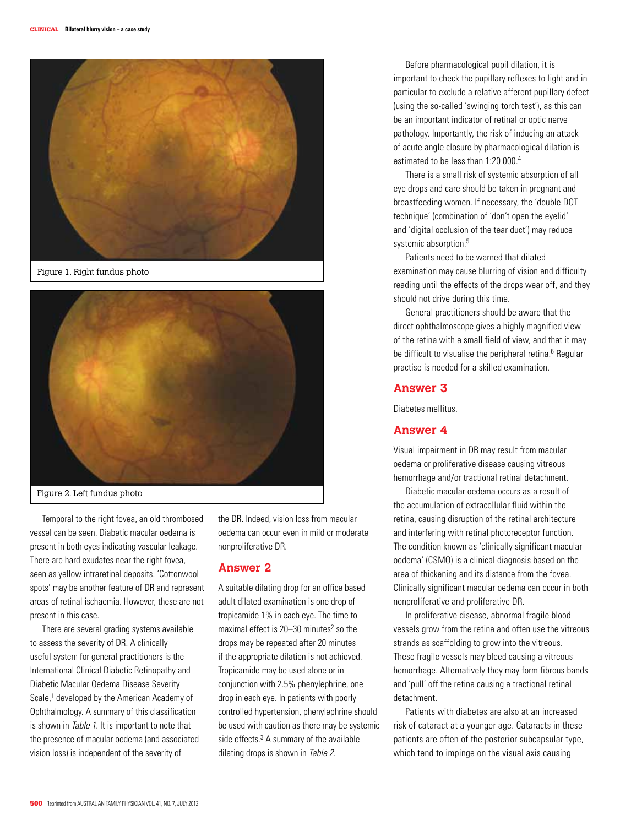

Figure 1. Right fundus photo



Figure 2. Left fundus photo

Temporal to the right fovea, an old thrombosed vessel can be seen. Diabetic macular oedema is present in both eyes indicating vascular leakage. There are hard exudates near the right fovea, seen as yellow intraretinal deposits. 'Cottonwool spots' may be another feature of DR and represent areas of retinal ischaemia. However, these are not present in this case.

There are several grading systems available to assess the severity of DR. A clinically useful system for general practitioners is the International Clinical Diabetic Retinopathy and Diabetic Macular Oedema Disease Severity Scale,<sup>1</sup> developed by the American Academy of Ophthalmology. A summary of this classification is shown in Table 1. It is important to note that the presence of macular oedema (and associated vision loss) is independent of the severity of

the DR. Indeed, vision loss from macular oedema can occur even in mild or moderate nonproliferative DR.

#### **Answer 2**

A suitable dilating drop for an office based adult dilated examination is one drop of tropicamide 1% in each eye. The time to maximal effect is  $20-30$  minutes<sup>2</sup> so the drops may be repeated after 20 minutes if the appropriate dilation is not achieved. Tropicamide may be used alone or in conjunction with 2.5% phenylephrine, one drop in each eye. In patients with poorly controlled hypertension, phenylephrine should be used with caution as there may be systemic side effects. $3$  A summary of the available dilating drops is shown in Table 2.

Before pharmacological pupil dilation, it is important to check the pupillary reflexes to light and in particular to exclude a relative afferent pupillary defect (using the so-called 'swinging torch test'), as this can be an important indicator of retinal or optic nerve pathology. Importantly, the risk of inducing an attack of acute angle closure by pharmacological dilation is estimated to be less than 1:20 000.4

There is a small risk of systemic absorption of all eye drops and care should be taken in pregnant and breastfeeding women. If necessary, the 'double DOT technique' (combination of 'don't open the eyelid' and 'digital occlusion of the tear duct') may reduce systemic absorption.<sup>5</sup>

Patients need to be warned that dilated examination may cause blurring of vision and difficulty reading until the effects of the drops wear off, and they should not drive during this time.

General practitioners should be aware that the direct ophthalmoscope gives a highly magnified view of the retina with a small field of view, and that it may be difficult to visualise the peripheral retina.<sup>6</sup> Regular practise is needed for a skilled examination.

## **Answer 3**

Diabetes mellitus.

## **Answer 4**

Visual impairment in DR may result from macular oedema or proliferative disease causing vitreous hemorrhage and/or tractional retinal detachment.

Diabetic macular oedema occurs as a result of the accumulation of extracellular fluid within the retina, causing disruption of the retinal architecture and interfering with retinal photoreceptor function. The condition known as 'clinically significant macular oedema' (CSMO) is a clinical diagnosis based on the area of thickening and its distance from the fovea. Clinically significant macular oedema can occur in both nonproliferative and proliferative DR.

In proliferative disease, abnormal fragile blood vessels grow from the retina and often use the vitreous strands as scaffolding to grow into the vitreous. These fragile vessels may bleed causing a vitreous hemorrhage. Alternatively they may form fibrous bands and 'pull' off the retina causing a tractional retinal detachment.

Patients with diabetes are also at an increased risk of cataract at a younger age. Cataracts in these patients are often of the posterior subcapsular type, which tend to impinge on the visual axis causing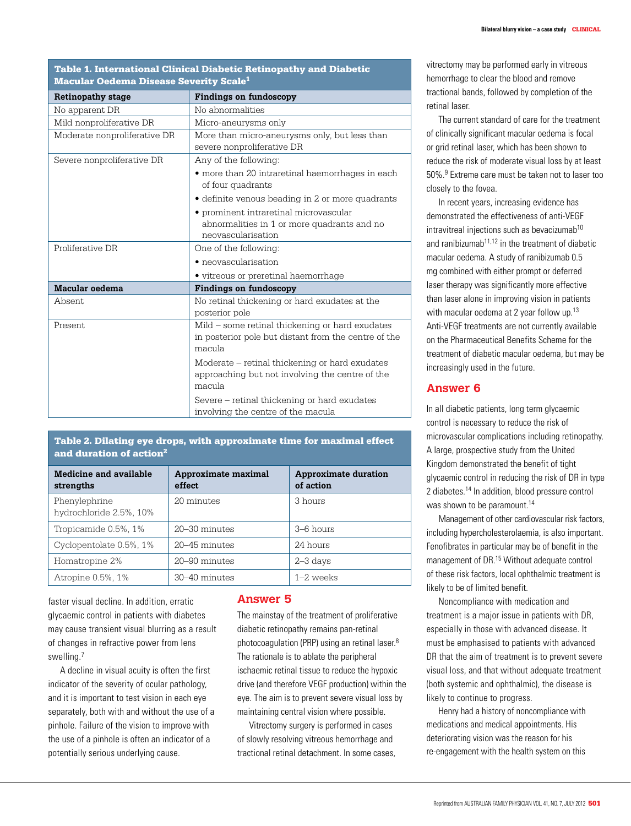|  |  |                                                    |  |  | Table 1. International Clinical Diabetic Retinopathy and Diabetic |
|--|--|----------------------------------------------------|--|--|-------------------------------------------------------------------|
|  |  | Macular Oedema Disease Severity Scale <sup>1</sup> |  |  |                                                                   |

| <b>Retinopathy stage</b>     | <b>Findings on fundoscopy</b>                                                                               |  |  |  |
|------------------------------|-------------------------------------------------------------------------------------------------------------|--|--|--|
| No apparent DR               | No abnormalities                                                                                            |  |  |  |
| Mild nonproliferative DR     | Micro-aneurysms only                                                                                        |  |  |  |
| Moderate nonproliferative DR | More than micro-aneurysms only, but less than<br>severe nonproliferative DR                                 |  |  |  |
| Severe nonproliferative DR   | Any of the following:                                                                                       |  |  |  |
|                              | • more than 20 intraretinal haemorrhages in each<br>of four quadrants                                       |  |  |  |
|                              | · definite venous beading in 2 or more quadrants                                                            |  |  |  |
|                              | · prominent intraretinal microvascular<br>abnormalities in 1 or more quadrants and no<br>neovascularisation |  |  |  |
| Proliferative DR             | One of the following:                                                                                       |  |  |  |
|                              | • neovascularisation                                                                                        |  |  |  |
|                              | • vitreous or preretinal haemorrhage                                                                        |  |  |  |
| Macular oedema               | Findings on fundoscopy                                                                                      |  |  |  |
| Absent.                      | No retinal thickening or hard exudates at the<br>posterior pole                                             |  |  |  |
| Present                      | Mild – some retinal thickening or hard exudates                                                             |  |  |  |
|                              | in posterior pole but distant from the centre of the<br>macula                                              |  |  |  |
|                              | Moderate – retinal thickening or hard exudates<br>approaching but not involving the centre of the<br>macula |  |  |  |
|                              | Severe – retinal thickening or hard exudates<br>involving the centre of the macula                          |  |  |  |

Table 2. Dilating eye drops, with approximate time for maximal effect and duration of action<sup>2</sup>

| Medicine and available<br>strengths      | Approximate maximal<br>effect | <b>Approximate duration</b><br>of action |
|------------------------------------------|-------------------------------|------------------------------------------|
| Phenylephrine<br>hydrochloride 2.5%, 10% | 20 minutes                    | 3 hours                                  |
| Tropicamide 0.5%, 1%                     | 20–30 minutes                 | $3-6$ hours                              |
| Cyclopentolate 0.5%, 1%                  | 20–45 minutes                 | 24 hours                                 |
| Homatropine 2%                           | 20–90 minutes                 | $2 - 3$ days                             |
| Atropine 0.5%, 1%                        | 30-40 minutes                 | $1-2$ weeks                              |

faster visual decline. In addition, erratic glycaemic control in patients with diabetes may cause transient visual blurring as a result of changes in refractive power from lens swelling.7

A decline in visual acuity is often the first indicator of the severity of ocular pathology, and it is important to test vision in each eye separately, both with and without the use of a pinhole. Failure of the vision to improve with the use of a pinhole is often an indicator of a potentially serious underlying cause.

## **Answer 5**

The mainstay of the treatment of proliferative diabetic retinopathy remains pan-retinal photocoagulation (PRP) using an retinal laser.8 The rationale is to ablate the peripheral ischaemic retinal tissue to reduce the hypoxic drive (and therefore VEGF production) within the eye. The aim is to prevent severe visual loss by maintaining central vision where possible.

Vitrectomy surgery is performed in cases of slowly resolving vitreous hemorrhage and tractional retinal detachment. In some cases, vitrectomy may be performed early in vitreous hemorrhage to clear the blood and remove tractional bands, followed by completion of the retinal laser.

The current standard of care for the treatment of clinically significant macular oedema is focal or grid retinal laser, which has been shown to reduce the risk of moderate visual loss by at least 50%.9 Extreme care must be taken not to laser too closely to the fovea.

In recent years, increasing evidence has demonstrated the effectiveness of anti-VEGF  $intr$ intravitreal injections such as bevacizumab<sup>10</sup> and ranibizumab<sup>11,12</sup> in the treatment of diabetic macular oedema. A study of ranibizumab 0.5 mg combined with either prompt or deferred laser therapy was significantly more effective than laser alone in improving vision in patients with macular oedema at 2 year follow up.<sup>13</sup> Anti-VEGF treatments are not currently available on the Pharmaceutical Benefits Scheme for the treatment of diabetic macular oedema, but may be increasingly used in the future.

#### **Answer 6**

In all diabetic patients, long term glycaemic control is necessary to reduce the risk of microvascular complications including retinopathy. A large, prospective study from the United Kingdom demonstrated the benefit of tight glycaemic control in reducing the risk of DR in type 2 diabetes.14 In addition, blood pressure control was shown to be paramount.<sup>14</sup>

Management of other cardiovascular risk factors, including hypercholesterolaemia, is also important. Fenofibrates in particular may be of benefit in the management of DR.15 Without adequate control of these risk factors, local ophthalmic treatment is likely to be of limited benefit.

Noncompliance with medication and treatment is a major issue in patients with DR, especially in those with advanced disease. It must be emphasised to patients with advanced DR that the aim of treatment is to prevent severe visual loss, and that without adequate treatment (both systemic and ophthalmic), the disease is likely to continue to progress.

Henry had a history of noncompliance with medications and medical appointments. His deteriorating vision was the reason for his re-engagement with the health system on this